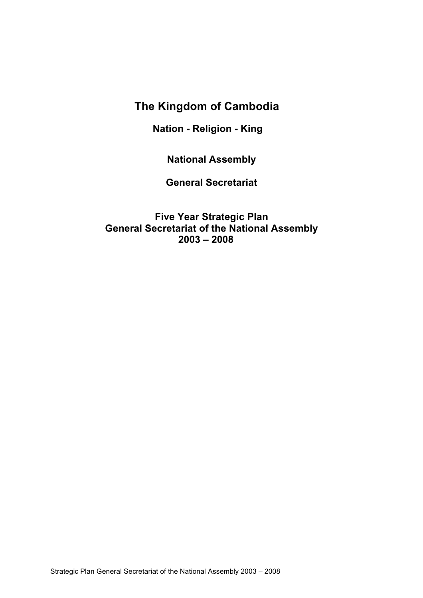# **The Kingdom of Cambodia**

**Nation - Religion - King**

**National Assembly**

**General Secretariat**

**Five Year Strategic Plan General Secretariat of the National Assembly 2003 – 2008**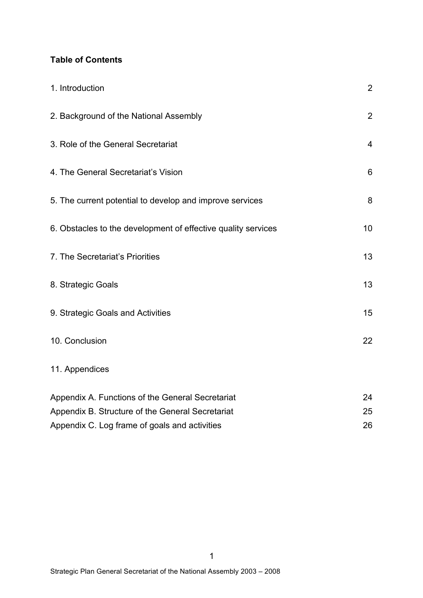### **Table of Contents**

| 1. Introduction                                               | $\overline{2}$ |
|---------------------------------------------------------------|----------------|
| 2. Background of the National Assembly                        | $\overline{2}$ |
| 3. Role of the General Secretariat                            | $\overline{4}$ |
| 4. The General Secretariat's Vision                           | 6              |
| 5. The current potential to develop and improve services      | 8              |
| 6. Obstacles to the development of effective quality services | 10             |
| 7. The Secretariat's Priorities                               | 13             |
| 8. Strategic Goals                                            | 13             |
| 9. Strategic Goals and Activities                             | 15             |
| 10. Conclusion                                                | 22             |
| 11. Appendices                                                |                |
| Appendix A. Functions of the General Secretariat              | 24             |
| Appendix B. Structure of the General Secretariat              | 25             |
| Appendix C. Log frame of goals and activities                 | 26             |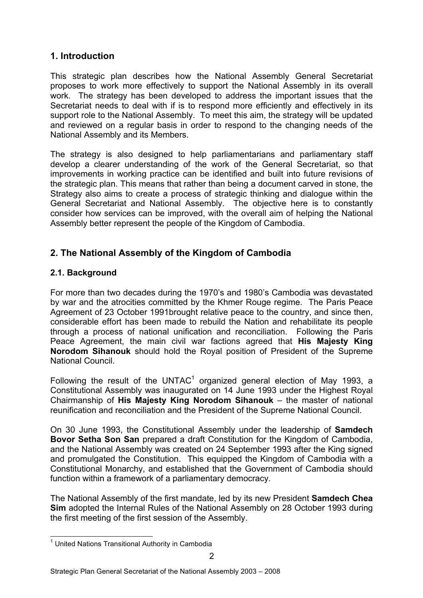# **1. Introduction**

This strategic plan describes how the National Assembly General Secretariat proposes to work more effectively to support the National Assembly in its overall work. The strategy has been developed to address the important issues that the Secretariat needs to deal with if is to respond more efficiently and effectively in its support role to the National Assembly. To meet this aim, the strategy will be updated and reviewed on a regular basis in order to respond to the changing needs of the National Assembly and its Members.

The strategy is also designed to help parliamentarians and parliamentary staff develop a clearer understanding of the work of the General Secretariat, so that improvements in working practice can be identified and built into future revisions of the strategic plan. This means that rather than being a document carved in stone, the Strategy also aims to create a process of strategic thinking and dialogue within the General Secretariat and National Assembly. The objective here is to constantly consider how services can be improved, with the overall aim of helping the National Assembly better represent the people of the Kingdom of Cambodia.

# **2. The National Assembly of the Kingdom of Cambodia**

# **2.1. Background**

For more than two decades during the 1970's and 1980's Cambodia was devastated by war and the atrocities committed by the Khmer Rouge regime. The Paris Peace Agreement of 23 October 1991brought relative peace to the country, and since then, considerable effort has been made to rebuild the Nation and rehabilitate its people through a process of national unification and reconciliation. Following the Paris Peace Agreement, the main civil war factions agreed that **His Majesty King Norodom Sihanouk** should hold the Royal position of President of the Supreme National Council.

Following the result of the UNTAC $<sup>1</sup>$  organized general election of May 1993, a</sup> Constitutional Assembly was inaugurated on 14 June 1993 under the Highest Royal Chairmanship of **His Majesty King Norodom Sihanouk** – the master of national reunification and reconciliation and the President of the Supreme National Council.

On 30 June 1993, the Constitutional Assembly under the leadership of **Samdech Bovor Setha Son San** prepared a draft Constitution for the Kingdom of Cambodia, and the National Assembly was created on 24 September 1993 after the King signed and promulgated the Constitution. This equipped the Kingdom of Cambodia with a Constitutional Monarchy, and established that the Government of Cambodia should function within a framework of a parliamentary democracy.

The National Assembly of the first mandate, led by its new President **Samdech Chea Sim** adopted the Internal Rules of the National Assembly on 28 October 1993 during the first meeting of the first session of the Assembly.

 $1$  United Nations Transitional Authority in Cambodia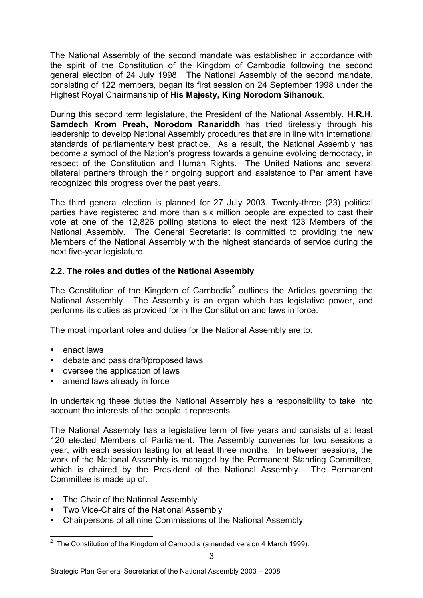The National Assembly of the second mandate was established in accordance with the spirit of the Constitution of the Kingdom of Cambodia following the second general election of 24 July 1998. The National Assembly of the second mandate, consisting of 122 members, began its first session on 24 September 1998 under the Highest Royal Chairmanship of **His Majesty, King Norodom Sihanouk**.

During this second term legislature, the President of the National Assembly, **H.R.H. Samdech Krom Preah, Norodom Ranariddh** has tried tirelessly through his leadership to develop National Assembly procedures that are in line with international standards of parliamentary best practice. As a result, the National Assembly has become a symbol of the Nation's progress towards a genuine evolving democracy, in respect of the Constitution and Human Rights. The United Nations and several bilateral partners through their ongoing support and assistance to Parliament have recognized this progress over the past years.

The third general election is planned for 27 July 2003. Twenty-three (23) political parties have registered and more than six million people are expected to cast their vote at one of the 12,826 polling stations to elect the next 123 Members of the National Assembly. The General Secretariat is committed to providing the new Members of the National Assembly with the highest standards of service during the next five-year legislature.

### **2.2. The roles and duties of the National Assembly**

The Constitution of the Kingdom of Cambodia<sup>2</sup> outlines the Articles governing the National Assembly. The Assembly is an organ which has legislative power, and performs its duties as provided for in the Constitution and laws in force.

The most important roles and duties for the National Assembly are to:

- enact laws
- debate and pass draft/proposed laws
- oversee the application of laws
- amend laws already in force

In undertaking these duties the National Assembly has a responsibility to take into account the interests of the people it represents.

The National Assembly has a legislative term of five years and consists of at least 120 elected Members of Parliament. The Assembly convenes for two sessions a year, with each session lasting for at least three months. In between sessions, the work of the National Assembly is managed by the Permanent Standing Committee, which is chaired by the President of the National Assembly. The Permanent Committee is made up of:

- The Chair of the National Assembly
- Two Vice-Chairs of the National Assembly
- Chairpersons of all nine Commissions of the National Assembly

2 The Constitution of the Kingdom of Cambodia (amended version 4 March 1999).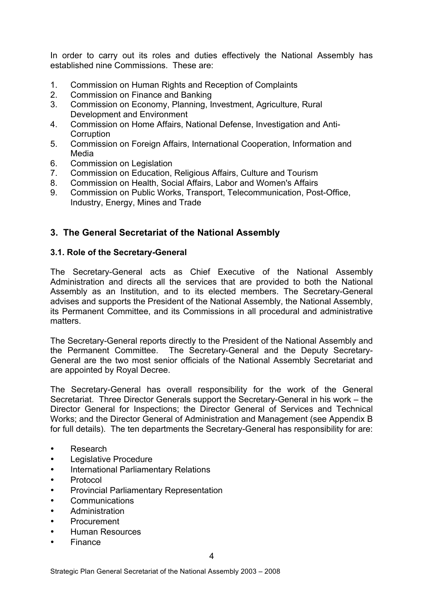In order to carry out its roles and duties effectively the National Assembly has established nine Commissions. These are:

- 1. Commission on Human Rights and Reception of Complaints
- 2. Commission on Finance and Banking
- 3. Commission on Economy, Planning, Investment, Agriculture, Rural Development and Environment
- 4. Commission on Home Affairs, National Defense, Investigation and Anti-**Corruption**
- 5. Commission on Foreign Affairs, International Cooperation, Information and Media
- 6. Commission on Legislation
- 7. Commission on Education, Religious Affairs, Culture and Tourism
- 8. Commission on Health, Social Affairs, Labor and Women's Affairs
- 9. Commission on Public Works, Transport, Telecommunication, Post-Office, Industry, Energy, Mines and Trade

### **3. The General Secretariat of the National Assembly**

### **3.1. Role of the Secretary-General**

The Secretary-General acts as Chief Executive of the National Assembly Administration and directs all the services that are provided to both the National Assembly as an Institution, and to its elected members. The Secretary-General advises and supports the President of the National Assembly, the National Assembly, its Permanent Committee, and its Commissions in all procedural and administrative matters.

The Secretary-General reports directly to the President of the National Assembly and the Permanent Committee. The Secretary-General and the Deputy Secretary-General are the two most senior officials of the National Assembly Secretariat and are appointed by Royal Decree.

The Secretary-General has overall responsibility for the work of the General Secretariat. Three Director Generals support the Secretary-General in his work – the Director General for Inspections; the Director General of Services and Technical Works; and the Director General of Administration and Management (see Appendix B for full details). The ten departments the Secretary-General has responsibility for are:

- Research
- Legislative Procedure
- International Parliamentary Relations
- Protocol
- Provincial Parliamentary Representation
- Communications
- Administration
- Procurement
- Human Resources
- Finance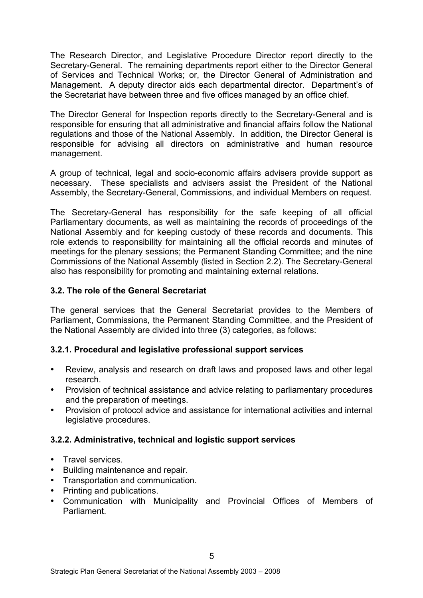The Research Director, and Legislative Procedure Director report directly to the Secretary-General. The remaining departments report either to the Director General of Services and Technical Works; or, the Director General of Administration and Management. A deputy director aids each departmental director. Department's of the Secretariat have between three and five offices managed by an office chief.

The Director General for Inspection reports directly to the Secretary-General and is responsible for ensuring that all administrative and financial affairs follow the National regulations and those of the National Assembly. In addition, the Director General is responsible for advising all directors on administrative and human resource management.

A group of technical, legal and socio-economic affairs advisers provide support as necessary. These specialists and advisers assist the President of the National Assembly, the Secretary-General, Commissions, and individual Members on request.

The Secretary-General has responsibility for the safe keeping of all official Parliamentary documents, as well as maintaining the records of proceedings of the National Assembly and for keeping custody of these records and documents. This role extends to responsibility for maintaining all the official records and minutes of meetings for the plenary sessions; the Permanent Standing Committee; and the nine Commissions of the National Assembly (listed in Section 2.2). The Secretary-General also has responsibility for promoting and maintaining external relations.

### **3.2. The role of the General Secretariat**

The general services that the General Secretariat provides to the Members of Parliament, Commissions, the Permanent Standing Committee, and the President of the National Assembly are divided into three (3) categories, as follows:

### **3.2.1. Procedural and legislative professional support services**

- Review, analysis and research on draft laws and proposed laws and other legal research.
- Provision of technical assistance and advice relating to parliamentary procedures and the preparation of meetings.
- Provision of protocol advice and assistance for international activities and internal legislative procedures.

### **3.2.2. Administrative, technical and logistic support services**

- Travel services.
- Building maintenance and repair.
- Transportation and communication.
- Printing and publications.
- Communication with Municipality and Provincial Offices of Members of Parliament.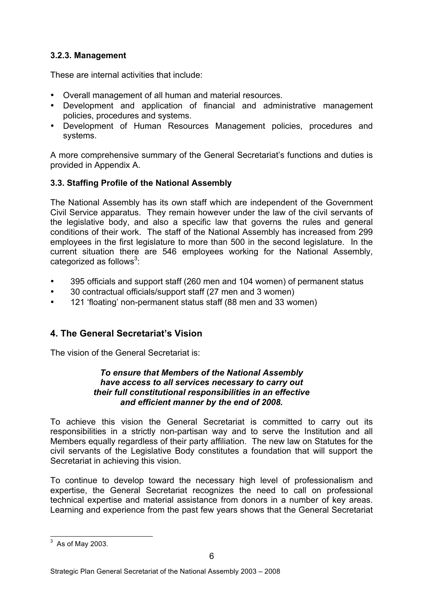### **3.2.3. Management**

These are internal activities that include:

- Overall management of all human and material resources.
- Development and application of financial and administrative management policies, procedures and systems.
- Development of Human Resources Management policies, procedures and systems.

A more comprehensive summary of the General Secretariat's functions and duties is provided in Appendix A.

# **3.3. Staffing Profile of the National Assembly**

The National Assembly has its own staff which are independent of the Government Civil Service apparatus. They remain however under the law of the civil servants of the legislative body, and also a specific law that governs the rules and general conditions of their work. The staff of the National Assembly has increased from 299 employees in the first legislature to more than 500 in the second legislature. In the current situation there are 546 employees working for the National Assembly, categorized as follows<sup>3</sup>:

- 395 officials and support staff (260 men and 104 women) of permanent status
- 30 contractual officials/support staff (27 men and 3 women)
- 121 'floating' non-permanent status staff (88 men and 33 women)

# **4. The General Secretariat's Vision**

The vision of the General Secretariat is:

### *To ensure that Members of the National Assembly have access to all services necessary to carry out their full constitutional responsibilities in an effective and efficient manner by the end of 2008.*

To achieve this vision the General Secretariat is committed to carry out its responsibilities in a strictly non-partisan way and to serve the Institution and all Members equally regardless of their party affiliation. The new law on Statutes for the civil servants of the Legislative Body constitutes a foundation that will support the Secretariat in achieving this vision.

To continue to develop toward the necessary high level of professionalism and expertise, the General Secretariat recognizes the need to call on professional technical expertise and material assistance from donors in a number of key areas. Learning and experience from the past few years shows that the General Secretariat

 $3\overline{)}$  As of May 2003.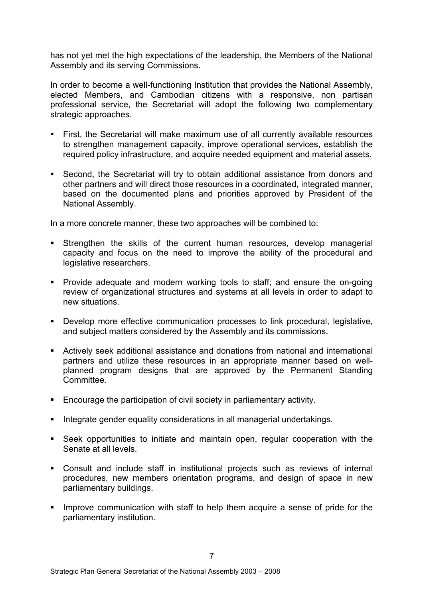has not yet met the high expectations of the leadership, the Members of the National Assembly and its serving Commissions.

In order to become a well-functioning Institution that provides the National Assembly, elected Members, and Cambodian citizens with a responsive, non partisan professional service, the Secretariat will adopt the following two complementary strategic approaches.

- First, the Secretariat will make maximum use of all currently available resources to strengthen management capacity, improve operational services, establish the required policy infrastructure, and acquire needed equipment and material assets.
- Second, the Secretariat will try to obtain additional assistance from donors and other partners and will direct those resources in a coordinated, integrated manner, based on the documented plans and priorities approved by President of the National Assembly.

In a more concrete manner, these two approaches will be combined to:

- **EXTERGHERIM** Strengthen the skills of the current human resources, develop managerial capacity and focus on the need to improve the ability of the procedural and legislative researchers.
- ! Provide adequate and modern working tools to staff; and ensure the on-going review of organizational structures and systems at all levels in order to adapt to new situations.
- ! Develop more effective communication processes to link procedural, legislative, and subject matters considered by the Assembly and its commissions.
- ! Actively seek additional assistance and donations from national and international partners and utilize these resources in an appropriate manner based on wellplanned program designs that are approved by the Permanent Standing **Committee.**
- ! Encourage the participation of civil society in parliamentary activity.
- ! Integrate gender equality considerations in all managerial undertakings.
- ! Seek opportunities to initiate and maintain open, regular cooperation with the Senate at all levels.
- ! Consult and include staff in institutional projects such as reviews of internal procedures, new members orientation programs, and design of space in new parliamentary buildings.
- ! Improve communication with staff to help them acquire a sense of pride for the parliamentary institution.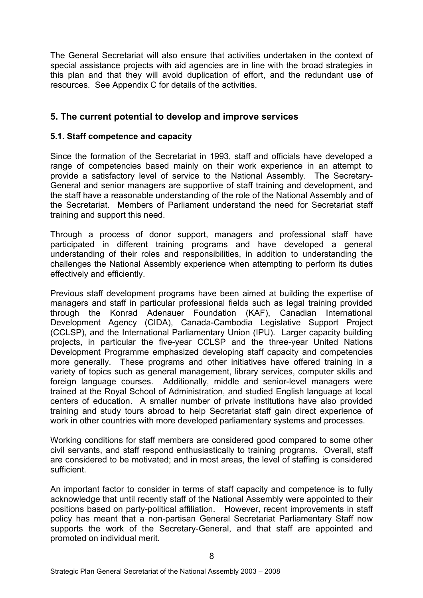The General Secretariat will also ensure that activities undertaken in the context of special assistance projects with aid agencies are in line with the broad strategies in this plan and that they will avoid duplication of effort, and the redundant use of resources. See Appendix C for details of the activities.

### **5. The current potential to develop and improve services**

### **5.1. Staff competence and capacity**

Since the formation of the Secretariat in 1993, staff and officials have developed a range of competencies based mainly on their work experience in an attempt to provide a satisfactory level of service to the National Assembly. The Secretary-General and senior managers are supportive of staff training and development, and the staff have a reasonable understanding of the role of the National Assembly and of the Secretariat. Members of Parliament understand the need for Secretariat staff training and support this need.

Through a process of donor support, managers and professional staff have participated in different training programs and have developed a general understanding of their roles and responsibilities, in addition to understanding the challenges the National Assembly experience when attempting to perform its duties effectively and efficiently.

Previous staff development programs have been aimed at building the expertise of managers and staff in particular professional fields such as legal training provided through the Konrad Adenauer Foundation (KAF), Canadian International Development Agency (CIDA), Canada-Cambodia Legislative Support Project (CCLSP), and the International Parliamentary Union (IPU). Larger capacity building projects, in particular the five-year CCLSP and the three-year United Nations Development Programme emphasized developing staff capacity and competencies more generally. These programs and other initiatives have offered training in a variety of topics such as general management, library services, computer skills and foreign language courses. Additionally, middle and senior-level managers were trained at the Royal School of Administration, and studied English language at local centers of education. A smaller number of private institutions have also provided training and study tours abroad to help Secretariat staff gain direct experience of work in other countries with more developed parliamentary systems and processes.

Working conditions for staff members are considered good compared to some other civil servants, and staff respond enthusiastically to training programs. Overall, staff are considered to be motivated; and in most areas, the level of staffing is considered sufficient.

An important factor to consider in terms of staff capacity and competence is to fully acknowledge that until recently staff of the National Assembly were appointed to their positions based on party-political affiliation. However, recent improvements in staff policy has meant that a non-partisan General Secretariat Parliamentary Staff now supports the work of the Secretary-General, and that staff are appointed and promoted on individual merit.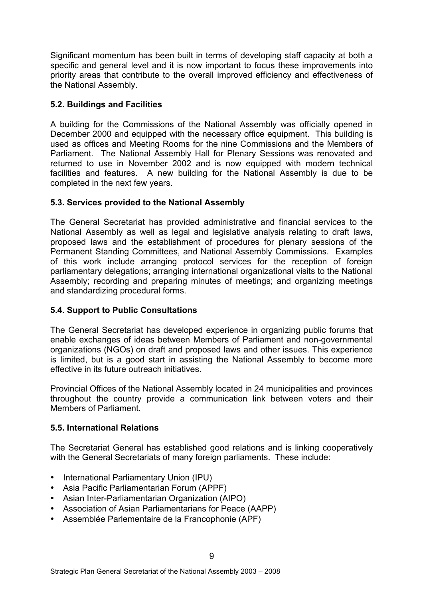Significant momentum has been built in terms of developing staff capacity at both a specific and general level and it is now important to focus these improvements into priority areas that contribute to the overall improved efficiency and effectiveness of the National Assembly.

### **5.2. Buildings and Facilities**

A building for the Commissions of the National Assembly was officially opened in December 2000 and equipped with the necessary office equipment. This building is used as offices and Meeting Rooms for the nine Commissions and the Members of Parliament. The National Assembly Hall for Plenary Sessions was renovated and returned to use in November 2002 and is now equipped with modern technical facilities and features. A new building for the National Assembly is due to be completed in the next few years.

### **5.3. Services provided to the National Assembly**

The General Secretariat has provided administrative and financial services to the National Assembly as well as legal and legislative analysis relating to draft laws, proposed laws and the establishment of procedures for plenary sessions of the Permanent Standing Committees, and National Assembly Commissions. Examples of this work include arranging protocol services for the reception of foreign parliamentary delegations; arranging international organizational visits to the National Assembly; recording and preparing minutes of meetings; and organizing meetings and standardizing procedural forms.

### **5.4. Support to Public Consultations**

The General Secretariat has developed experience in organizing public forums that enable exchanges of ideas between Members of Parliament and non-governmental organizations (NGOs) on draft and proposed laws and other issues. This experience is limited, but is a good start in assisting the National Assembly to become more effective in its future outreach initiatives.

Provincial Offices of the National Assembly located in 24 municipalities and provinces throughout the country provide a communication link between voters and their Members of Parliament.

# **5.5. International Relations**

The Secretariat General has established good relations and is linking cooperatively with the General Secretariats of many foreign parliaments. These include:

- International Parliamentary Union (IPU)
- Asia Pacific Parliamentarian Forum (APPF)
- Asian Inter-Parliamentarian Organization (AIPO)
- Association of Asian Parliamentarians for Peace (AAPP)
- Assemblée Parlementaire de la Francophonie (APF)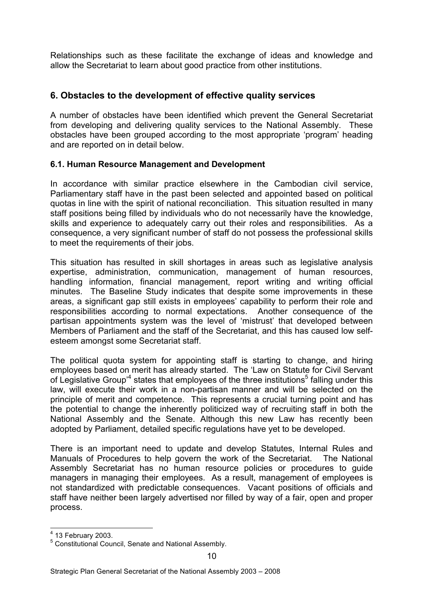Relationships such as these facilitate the exchange of ideas and knowledge and allow the Secretariat to learn about good practice from other institutions.

### **6. Obstacles to the development of effective quality services**

A number of obstacles have been identified which prevent the General Secretariat from developing and delivering quality services to the National Assembly. These obstacles have been grouped according to the most appropriate 'program' heading and are reported on in detail below.

### **6.1. Human Resource Management and Development**

In accordance with similar practice elsewhere in the Cambodian civil service, Parliamentary staff have in the past been selected and appointed based on political quotas in line with the spirit of national reconciliation. This situation resulted in many staff positions being filled by individuals who do not necessarily have the knowledge, skills and experience to adequately carry out their roles and responsibilities. As a consequence, a very significant number of staff do not possess the professional skills to meet the requirements of their jobs.

This situation has resulted in skill shortages in areas such as legislative analysis expertise, administration, communication, management of human resources, handling information, financial management, report writing and writing official minutes. The Baseline Study indicates that despite some improvements in these areas, a significant gap still exists in employees' capability to perform their role and responsibilities according to normal expectations. Another consequence of the partisan appointments system was the level of 'mistrust' that developed between Members of Parliament and the staff of the Secretariat, and this has caused low selfesteem amongst some Secretariat staff.

The political quota system for appointing staff is starting to change, and hiring employees based on merit has already started. The 'Law on Statute for Civil Servant of Legislative Group<sup>4</sup> states that employees of the three institutions<sup>5</sup> falling under this law, will execute their work in a non-partisan manner and will be selected on the principle of merit and competence. This represents a crucial turning point and has the potential to change the inherently politicized way of recruiting staff in both the National Assembly and the Senate. Although this new Law has recently been adopted by Parliament, detailed specific regulations have yet to be developed.

There is an important need to update and develop Statutes, Internal Rules and Manuals of Procedures to help govern the work of the Secretariat. The National Assembly Secretariat has no human resource policies or procedures to guide managers in managing their employees. As a result, management of employees is not standardized with predictable consequences. Vacant positions of officials and staff have neither been largely advertised nor filled by way of a fair, open and proper process.

 $<sup>4</sup>$  13 February 2003.</sup>

<sup>&</sup>lt;sup>5</sup> Constitutional Council, Senate and National Assembly.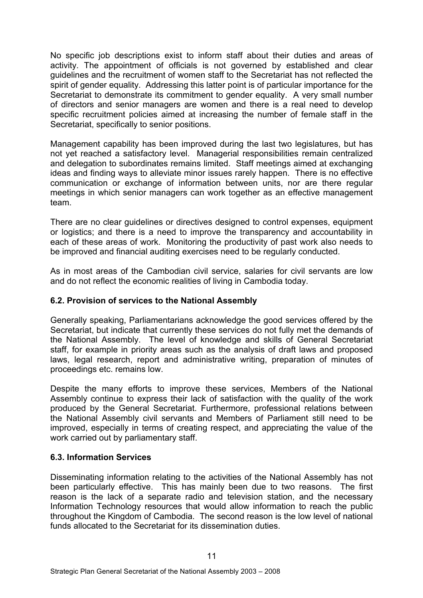No specific job descriptions exist to inform staff about their duties and areas of activity. The appointment of officials is not governed by established and clear guidelines and the recruitment of women staff to the Secretariat has not reflected the spirit of gender equality. Addressing this latter point is of particular importance for the Secretariat to demonstrate its commitment to gender equality. A very small number of directors and senior managers are women and there is a real need to develop specific recruitment policies aimed at increasing the number of female staff in the Secretariat, specifically to senior positions.

Management capability has been improved during the last two legislatures, but has not yet reached a satisfactory level. Managerial responsibilities remain centralized and delegation to subordinates remains limited. Staff meetings aimed at exchanging ideas and finding ways to alleviate minor issues rarely happen. There is no effective communication or exchange of information between units, nor are there regular meetings in which senior managers can work together as an effective management team.

There are no clear guidelines or directives designed to control expenses, equipment or logistics; and there is a need to improve the transparency and accountability in each of these areas of work. Monitoring the productivity of past work also needs to be improved and financial auditing exercises need to be regularly conducted.

As in most areas of the Cambodian civil service, salaries for civil servants are low and do not reflect the economic realities of living in Cambodia today.

### **6.2. Provision of services to the National Assembly**

Generally speaking, Parliamentarians acknowledge the good services offered by the Secretariat, but indicate that currently these services do not fully met the demands of the National Assembly. The level of knowledge and skills of General Secretariat staff, for example in priority areas such as the analysis of draft laws and proposed laws, legal research, report and administrative writing, preparation of minutes of proceedings etc. remains low.

Despite the many efforts to improve these services, Members of the National Assembly continue to express their lack of satisfaction with the quality of the work produced by the General Secretariat. Furthermore, professional relations between the National Assembly civil servants and Members of Parliament still need to be improved, especially in terms of creating respect, and appreciating the value of the work carried out by parliamentary staff.

### **6.3. Information Services**

Disseminating information relating to the activities of the National Assembly has not been particularly effective. This has mainly been due to two reasons. The first reason is the lack of a separate radio and television station, and the necessary Information Technology resources that would allow information to reach the public throughout the Kingdom of Cambodia. The second reason is the low level of national funds allocated to the Secretariat for its dissemination duties.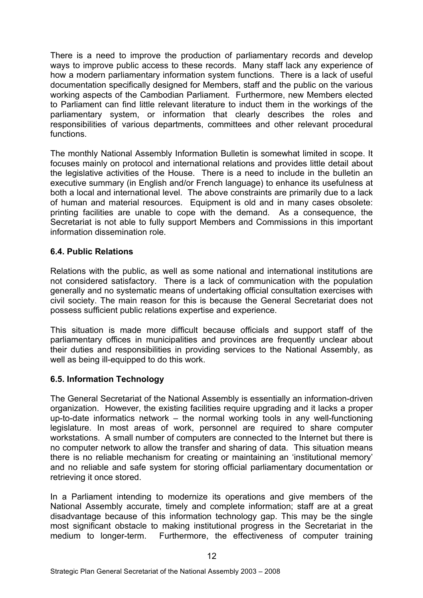There is a need to improve the production of parliamentary records and develop ways to improve public access to these records. Many staff lack any experience of how a modern parliamentary information system functions. There is a lack of useful documentation specifically designed for Members, staff and the public on the various working aspects of the Cambodian Parliament. Furthermore, new Members elected to Parliament can find little relevant literature to induct them in the workings of the parliamentary system, or information that clearly describes the roles and responsibilities of various departments, committees and other relevant procedural functions.

The monthly National Assembly Information Bulletin is somewhat limited in scope. It focuses mainly on protocol and international relations and provides little detail about the legislative activities of the House. There is a need to include in the bulletin an executive summary (in English and/or French language) to enhance its usefulness at both a local and international level. The above constraints are primarily due to a lack of human and material resources. Equipment is old and in many cases obsolete: printing facilities are unable to cope with the demand. As a consequence, the Secretariat is not able to fully support Members and Commissions in this important information dissemination role.

### **6.4. Public Relations**

Relations with the public, as well as some national and international institutions are not considered satisfactory. There is a lack of communication with the population generally and no systematic means of undertaking official consultation exercises with civil society. The main reason for this is because the General Secretariat does not possess sufficient public relations expertise and experience.

This situation is made more difficult because officials and support staff of the parliamentary offices in municipalities and provinces are frequently unclear about their duties and responsibilities in providing services to the National Assembly, as well as being ill-equipped to do this work.

### **6.5. Information Technology**

The General Secretariat of the National Assembly is essentially an information-driven organization. However, the existing facilities require upgrading and it lacks a proper up-to-date informatics network – the normal working tools in any well-functioning legislature. In most areas of work, personnel are required to share computer workstations. A small number of computers are connected to the Internet but there is no computer network to allow the transfer and sharing of data. This situation means there is no reliable mechanism for creating or maintaining an 'institutional memory' and no reliable and safe system for storing official parliamentary documentation or retrieving it once stored.

In a Parliament intending to modernize its operations and give members of the National Assembly accurate, timely and complete information; staff are at a great disadvantage because of this information technology gap. This may be the single most significant obstacle to making institutional progress in the Secretariat in the medium to longer-term. Furthermore, the effectiveness of computer training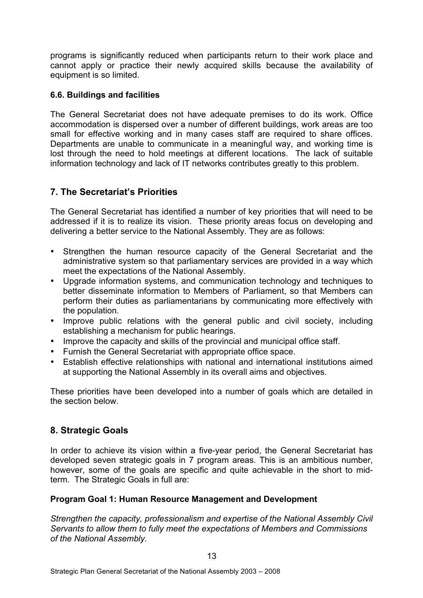programs is significantly reduced when participants return to their work place and cannot apply or practice their newly acquired skills because the availability of equipment is so limited.

### **6.6. Buildings and facilities**

The General Secretariat does not have adequate premises to do its work. Office accommodation is dispersed over a number of different buildings, work areas are too small for effective working and in many cases staff are required to share offices. Departments are unable to communicate in a meaningful way, and working time is lost through the need to hold meetings at different locations. The lack of suitable information technology and lack of IT networks contributes greatly to this problem.

# **7. The Secretariat's Priorities**

The General Secretariat has identified a number of key priorities that will need to be addressed if it is to realize its vision. These priority areas focus on developing and delivering a better service to the National Assembly. They are as follows:

- Strengthen the human resource capacity of the General Secretariat and the administrative system so that parliamentary services are provided in a way which meet the expectations of the National Assembly.
- Upgrade information systems, and communication technology and techniques to better disseminate information to Members of Parliament, so that Members can perform their duties as parliamentarians by communicating more effectively with the population.
- Improve public relations with the general public and civil society, including establishing a mechanism for public hearings.
- Improve the capacity and skills of the provincial and municipal office staff.
- Furnish the General Secretariat with appropriate office space.
- Establish effective relationships with national and international institutions aimed at supporting the National Assembly in its overall aims and objectives.

These priorities have been developed into a number of goals which are detailed in the section below.

# **8. Strategic Goals**

In order to achieve its vision within a five-year period, the General Secretariat has developed seven strategic goals in 7 program areas. This is an ambitious number, however, some of the goals are specific and quite achievable in the short to midterm. The Strategic Goals in full are:

### **Program Goal 1: Human Resource Management and Development**

*Strengthen the capacity, professionalism and expertise of the National Assembly Civil Servants to allow them to fully meet the expectations of Members and Commissions of the National Assembly.*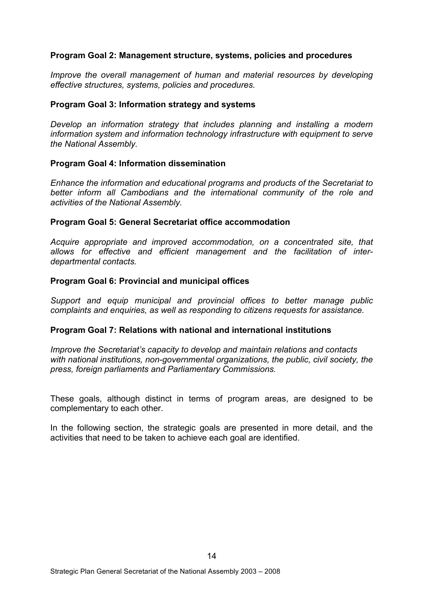#### **Program Goal 2: Management structure, systems, policies and procedures**

*Improve the overall management of human and material resources by developing effective structures, systems, policies and procedures.*

#### **Program Goal 3: Information strategy and systems**

*Develop an information strategy that includes planning and installing a modern information system and information technology infrastructure with equipment to serve the National Assembly.* 

#### **Program Goal 4: Information dissemination**

*Enhance the information and educational programs and products of the Secretariat to better inform all Cambodians and the international community of the role and activities of the National Assembly.*

#### **Program Goal 5: General Secretariat office accommodation**

*Acquire appropriate and improved accommodation, on a concentrated site, that allows for effective and efficient management and the facilitation of interdepartmental contacts.*

#### **Program Goal 6: Provincial and municipal offices**

*Support and equip municipal and provincial offices to better manage public complaints and enquiries, as well as responding to citizens requests for assistance.*

#### **Program Goal 7: Relations with national and international institutions**

*Improve the Secretariat's capacity to develop and maintain relations and contacts with national institutions, non-governmental organizations, the public, civil society, the press, foreign parliaments and Parliamentary Commissions.*

These goals, although distinct in terms of program areas, are designed to be complementary to each other.

In the following section, the strategic goals are presented in more detail, and the activities that need to be taken to achieve each goal are identified.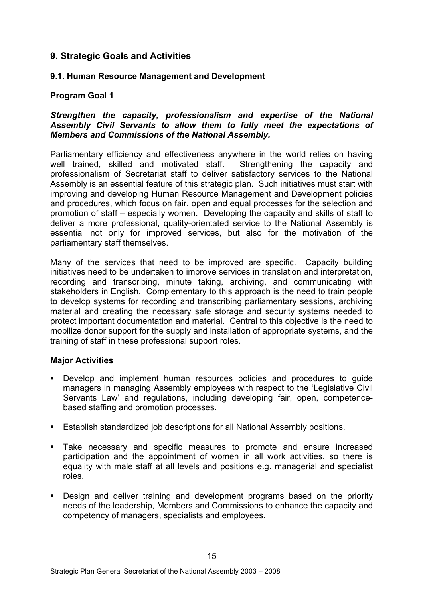### **9. Strategic Goals and Activities**

### **9.1. Human Resource Management and Development**

### **Program Goal 1**

### *Strengthen the capacity, professionalism and expertise of the National Assembly Civil Servants to allow them to fully meet the expectations of Members and Commissions of the National Assembly.*

Parliamentary efficiency and effectiveness anywhere in the world relies on having well trained, skilled and motivated staff. Strengthening the capacity and professionalism of Secretariat staff to deliver satisfactory services to the National Assembly is an essential feature of this strategic plan. Such initiatives must start with improving and developing Human Resource Management and Development policies and procedures, which focus on fair, open and equal processes for the selection and promotion of staff – especially women. Developing the capacity and skills of staff to deliver a more professional, quality-orientated service to the National Assembly is essential not only for improved services, but also for the motivation of the parliamentary staff themselves.

Many of the services that need to be improved are specific. Capacity building initiatives need to be undertaken to improve services in translation and interpretation, recording and transcribing, minute taking, archiving, and communicating with stakeholders in English. Complementary to this approach is the need to train people to develop systems for recording and transcribing parliamentary sessions, archiving material and creating the necessary safe storage and security systems needed to protect important documentation and material. Central to this objective is the need to mobilize donor support for the supply and installation of appropriate systems, and the training of staff in these professional support roles.

### **Major Activities**

- ! Develop and implement human resources policies and procedures to guide managers in managing Assembly employees with respect to the 'Legislative Civil Servants Law' and regulations, including developing fair, open, competencebased staffing and promotion processes.
- **Establish standardized job descriptions for all National Assembly positions.**
- ! Take necessary and specific measures to promote and ensure increased participation and the appointment of women in all work activities, so there is equality with male staff at all levels and positions e.g. managerial and specialist roles.
- ! Design and deliver training and development programs based on the priority needs of the leadership, Members and Commissions to enhance the capacity and competency of managers, specialists and employees.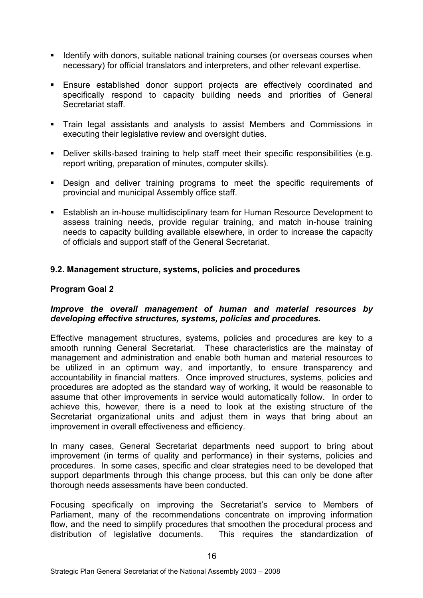- ! Identify with donors, suitable national training courses (or overseas courses when necessary) for official translators and interpreters, and other relevant expertise.
- ! Ensure established donor support projects are effectively coordinated and specifically respond to capacity building needs and priorities of General Secretariat staff.
- ! Train legal assistants and analysts to assist Members and Commissions in executing their legislative review and oversight duties.
- ! Deliver skills-based training to help staff meet their specific responsibilities (e.g. report writing, preparation of minutes, computer skills).
- ! Design and deliver training programs to meet the specific requirements of provincial and municipal Assembly office staff.
- ! Establish an in-house multidisciplinary team for Human Resource Development to assess training needs, provide regular training, and match in-house training needs to capacity building available elsewhere, in order to increase the capacity of officials and support staff of the General Secretariat.

### **9.2. Management structure, systems, policies and procedures**

### **Program Goal 2**

### *Improve the overall management of human and material resources by developing effective structures, systems, policies and procedures.*

Effective management structures, systems, policies and procedures are key to a smooth running General Secretariat. These characteristics are the mainstay of management and administration and enable both human and material resources to be utilized in an optimum way, and importantly, to ensure transparency and accountability in financial matters. Once improved structures, systems, policies and procedures are adopted as the standard way of working, it would be reasonable to assume that other improvements in service would automatically follow. In order to achieve this, however, there is a need to look at the existing structure of the Secretariat organizational units and adjust them in ways that bring about an improvement in overall effectiveness and efficiency.

In many cases, General Secretariat departments need support to bring about improvement (in terms of quality and performance) in their systems, policies and procedures. In some cases, specific and clear strategies need to be developed that support departments through this change process, but this can only be done after thorough needs assessments have been conducted.

Focusing specifically on improving the Secretariat's service to Members of Parliament, many of the recommendations concentrate on improving information flow, and the need to simplify procedures that smoothen the procedural process and distribution of legislative documents. This requires the standardization of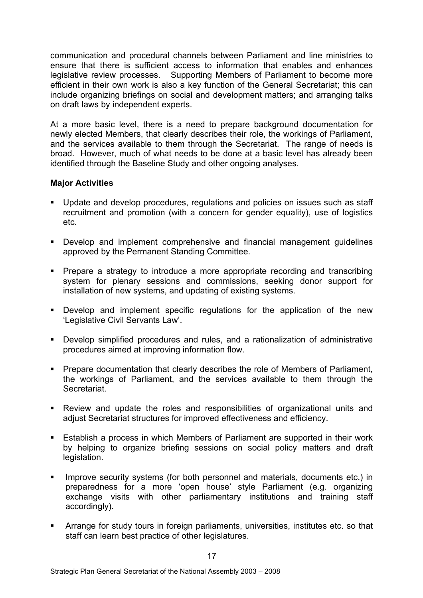communication and procedural channels between Parliament and line ministries to ensure that there is sufficient access to information that enables and enhances legislative review processes. Supporting Members of Parliament to become more efficient in their own work is also a key function of the General Secretariat; this can include organizing briefings on social and development matters; and arranging talks on draft laws by independent experts.

At a more basic level, there is a need to prepare background documentation for newly elected Members, that clearly describes their role, the workings of Parliament, and the services available to them through the Secretariat. The range of needs is broad. However, much of what needs to be done at a basic level has already been identified through the Baseline Study and other ongoing analyses.

### **Major Activities**

- ! Update and develop procedures, regulations and policies on issues such as staff recruitment and promotion (with a concern for gender equality), use of logistics etc.
- ! Develop and implement comprehensive and financial management guidelines approved by the Permanent Standing Committee.
- ! Prepare a strategy to introduce a more appropriate recording and transcribing system for plenary sessions and commissions, seeking donor support for installation of new systems, and updating of existing systems.
- ! Develop and implement specific regulations for the application of the new 'Legislative Civil Servants Law'.
- ! Develop simplified procedures and rules, and a rationalization of administrative procedures aimed at improving information flow.
- ! Prepare documentation that clearly describes the role of Members of Parliament, the workings of Parliament, and the services available to them through the Secretariat.
- ! Review and update the roles and responsibilities of organizational units and adjust Secretariat structures for improved effectiveness and efficiency.
- ! Establish a process in which Members of Parliament are supported in their work by helping to organize briefing sessions on social policy matters and draft legislation.
- Improve security systems (for both personnel and materials, documents etc.) in preparedness for a more 'open house' style Parliament (e.g. organizing exchange visits with other parliamentary institutions and training staff accordingly).
- ! Arrange for study tours in foreign parliaments, universities, institutes etc. so that staff can learn best practice of other legislatures.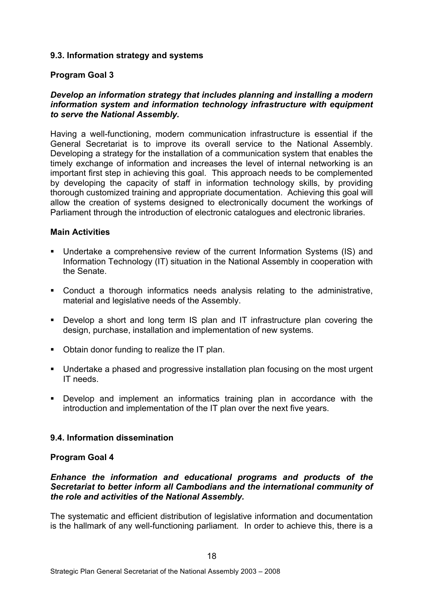### **9.3. Information strategy and systems**

#### **Program Goal 3**

#### *Develop an information strategy that includes planning and installing a modern information system and information technology infrastructure with equipment to serve the National Assembly.*

Having a well-functioning, modern communication infrastructure is essential if the General Secretariat is to improve its overall service to the National Assembly. Developing a strategy for the installation of a communication system that enables the timely exchange of information and increases the level of internal networking is an important first step in achieving this goal. This approach needs to be complemented by developing the capacity of staff in information technology skills, by providing thorough customized training and appropriate documentation. Achieving this goal will allow the creation of systems designed to electronically document the workings of Parliament through the introduction of electronic catalogues and electronic libraries.

#### **Main Activities**

- ! Undertake a comprehensive review of the current Information Systems (IS) and Information Technology (IT) situation in the National Assembly in cooperation with the Senate.
- ! Conduct a thorough informatics needs analysis relating to the administrative, material and legislative needs of the Assembly.
- ! Develop a short and long term IS plan and IT infrastructure plan covering the design, purchase, installation and implementation of new systems.
- ! Obtain donor funding to realize the IT plan.
- ! Undertake a phased and progressive installation plan focusing on the most urgent IT needs.
- ! Develop and implement an informatics training plan in accordance with the introduction and implementation of the IT plan over the next five years.

### **9.4. Information dissemination**

#### **Program Goal 4**

### *Enhance the information and educational programs and products of the Secretariat to better inform all Cambodians and the international community of the role and activities of the National Assembly.*

The systematic and efficient distribution of legislative information and documentation is the hallmark of any well-functioning parliament. In order to achieve this, there is a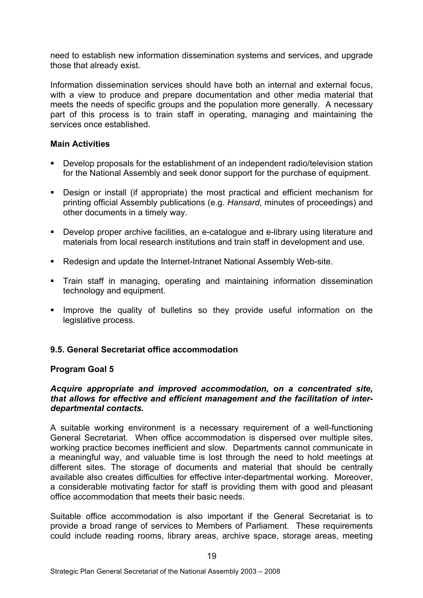need to establish new information dissemination systems and services, and upgrade those that already exist.

Information dissemination services should have both an internal and external focus, with a view to produce and prepare documentation and other media material that meets the needs of specific groups and the population more generally. A necessary part of this process is to train staff in operating, managing and maintaining the services once established.

### **Main Activities**

- ! Develop proposals for the establishment of an independent radio/television station for the National Assembly and seek donor support for the purchase of equipment.
- ! Design or install (if appropriate) the most practical and efficient mechanism for printing official Assembly publications (e.g. *Hansard*, minutes of proceedings) and other documents in a timely way.
- ! Develop proper archive facilities, an e-catalogue and e-library using literature and materials from local research institutions and train staff in development and use.
- ! Redesign and update the Internet-Intranet National Assembly Web-site.
- ! Train staff in managing, operating and maintaining information dissemination technology and equipment.
- ! Improve the quality of bulletins so they provide useful information on the legislative process.

### **9.5. General Secretariat office accommodation**

### **Program Goal 5**

#### *Acquire appropriate and improved accommodation, on a concentrated site, that allows for effective and efficient management and the facilitation of interdepartmental contacts.*

A suitable working environment is a necessary requirement of a well-functioning General Secretariat. When office accommodation is dispersed over multiple sites, working practice becomes inefficient and slow. Departments cannot communicate in a meaningful way, and valuable time is lost through the need to hold meetings at different sites. The storage of documents and material that should be centrally available also creates difficulties for effective inter-departmental working. Moreover, a considerable motivating factor for staff is providing them with good and pleasant office accommodation that meets their basic needs.

Suitable office accommodation is also important if the General Secretariat is to provide a broad range of services to Members of Parliament. These requirements could include reading rooms, library areas, archive space, storage areas, meeting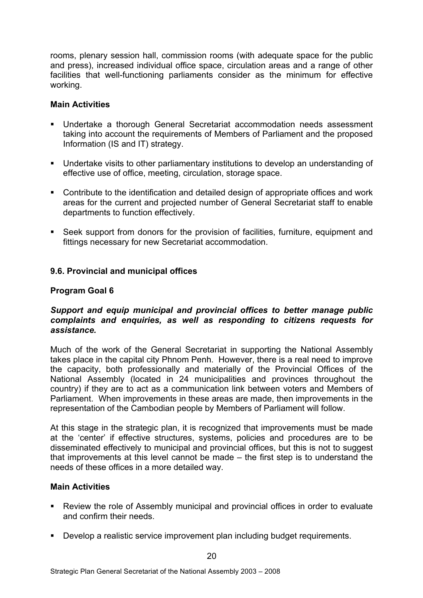rooms, plenary session hall, commission rooms (with adequate space for the public and press), increased individual office space, circulation areas and a range of other facilities that well-functioning parliaments consider as the minimum for effective working.

### **Main Activities**

- ! Undertake a thorough General Secretariat accommodation needs assessment taking into account the requirements of Members of Parliament and the proposed Information (IS and IT) strategy.
- ! Undertake visits to other parliamentary institutions to develop an understanding of effective use of office, meeting, circulation, storage space.
- ! Contribute to the identification and detailed design of appropriate offices and work areas for the current and projected number of General Secretariat staff to enable departments to function effectively.
- ! Seek support from donors for the provision of facilities, furniture, equipment and fittings necessary for new Secretariat accommodation.

### **9.6. Provincial and municipal offices**

### **Program Goal 6**

### *Support and equip municipal and provincial offices to better manage public complaints and enquiries, as well as responding to citizens requests for assistance.*

Much of the work of the General Secretariat in supporting the National Assembly takes place in the capital city Phnom Penh. However, there is a real need to improve the capacity, both professionally and materially of the Provincial Offices of the National Assembly (located in 24 municipalities and provinces throughout the country) if they are to act as a communication link between voters and Members of Parliament. When improvements in these areas are made, then improvements in the representation of the Cambodian people by Members of Parliament will follow.

At this stage in the strategic plan, it is recognized that improvements must be made at the 'center' if effective structures, systems, policies and procedures are to be disseminated effectively to municipal and provincial offices, but this is not to suggest that improvements at this level cannot be made – the first step is to understand the needs of these offices in a more detailed way.

### **Main Activities**

- ! Review the role of Assembly municipal and provincial offices in order to evaluate and confirm their needs.
- ! Develop a realistic service improvement plan including budget requirements.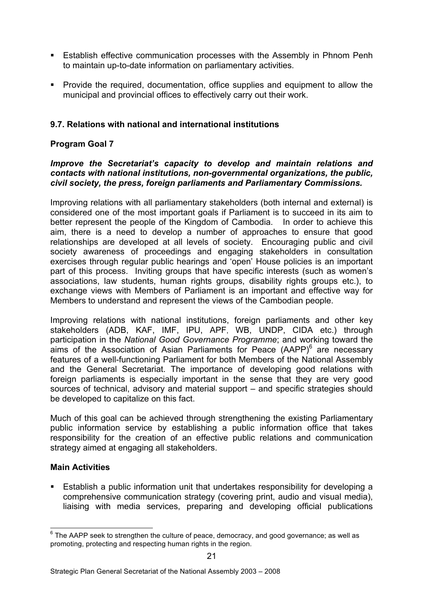- **Eitablish effective communication processes with the Assembly in Phnom Penh** to maintain up-to-date information on parliamentary activities.
- ! Provide the required, documentation, office supplies and equipment to allow the municipal and provincial offices to effectively carry out their work.

### **9.7. Relations with national and international institutions**

### **Program Goal 7**

#### *Improve the Secretariat's capacity to develop and maintain relations and contacts with national institutions, non-governmental organizations, the public, civil society, the press, foreign parliaments and Parliamentary Commissions.*

Improving relations with all parliamentary stakeholders (both internal and external) is considered one of the most important goals if Parliament is to succeed in its aim to better represent the people of the Kingdom of Cambodia. In order to achieve this aim, there is a need to develop a number of approaches to ensure that good relationships are developed at all levels of society. Encouraging public and civil society awareness of proceedings and engaging stakeholders in consultation exercises through regular public hearings and 'open' House policies is an important part of this process. Inviting groups that have specific interests (such as women's associations, law students, human rights groups, disability rights groups etc.), to exchange views with Members of Parliament is an important and effective way for Members to understand and represent the views of the Cambodian people.

Improving relations with national institutions, foreign parliaments and other key stakeholders (ADB, KAF, IMF, IPU, APF, WB, UNDP, CIDA etc.) through participation in the *National Good Governance Programme*; and working toward the aims of the Association of Asian Parliaments for Peace  $(AAPP)^6$  are necessary features of a well-functioning Parliament for both Members of the National Assembly and the General Secretariat. The importance of developing good relations with foreign parliaments is especially important in the sense that they are very good sources of technical, advisory and material support – and specific strategies should be developed to capitalize on this fact.

Much of this goal can be achieved through strengthening the existing Parliamentary public information service by establishing a public information office that takes responsibility for the creation of an effective public relations and communication strategy aimed at engaging all stakeholders.

### **Main Activities**

! Establish a public information unit that undertakes responsibility for developing a comprehensive communication strategy (covering print, audio and visual media), liaising with media services, preparing and developing official publications

 $6$  The AAPP seek to strengthen the culture of peace, democracy, and good governance; as well as promoting, protecting and respecting human rights in the region.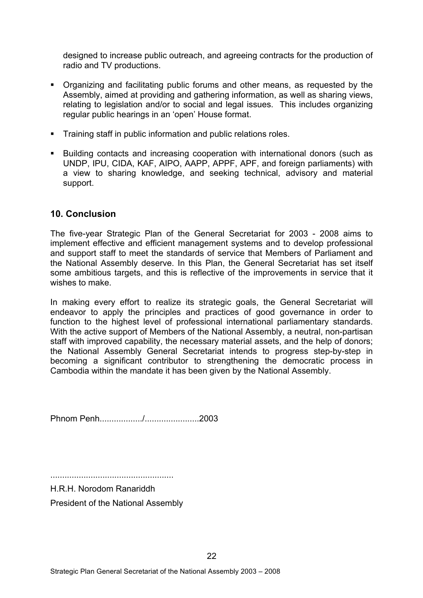designed to increase public outreach, and agreeing contracts for the production of radio and TV productions.

- ! Organizing and facilitating public forums and other means, as requested by the Assembly, aimed at providing and gathering information, as well as sharing views, relating to legislation and/or to social and legal issues. This includes organizing regular public hearings in an 'open' House format.
- ! Training staff in public information and public relations roles.
- ! Building contacts and increasing cooperation with international donors (such as UNDP, IPU, CIDA, KAF, AIPO, AAPP, APPF, APF, and foreign parliaments) with a view to sharing knowledge, and seeking technical, advisory and material support.

### **10. Conclusion**

The five-year Strategic Plan of the General Secretariat for 2003 - 2008 aims to implement effective and efficient management systems and to develop professional and support staff to meet the standards of service that Members of Parliament and the National Assembly deserve. In this Plan, the General Secretariat has set itself some ambitious targets, and this is reflective of the improvements in service that it wishes to make.

In making every effort to realize its strategic goals, the General Secretariat will endeavor to apply the principles and practices of good governance in order to function to the highest level of professional international parliamentary standards. With the active support of Members of the National Assembly, a neutral, non-partisan staff with improved capability, the necessary material assets, and the help of donors; the National Assembly General Secretariat intends to progress step-by-step in becoming a significant contributor to strengthening the democratic process in Cambodia within the mandate it has been given by the National Assembly.

Phnom Penh................../.......................2003

....................................................

H.R.H. Norodom Ranariddh President of the National Assembly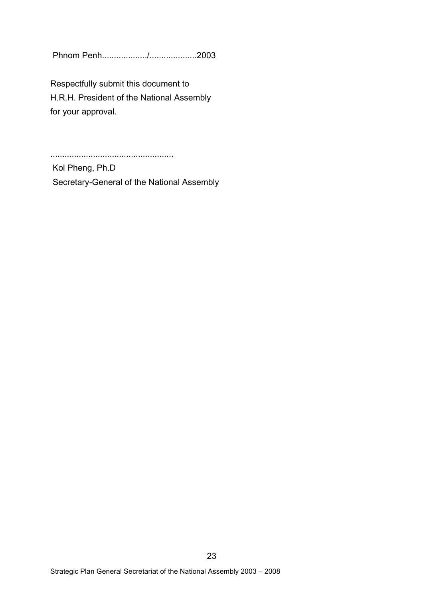Phnom Penh.................../....................2003

Respectfully submit this document to H.R.H. President of the National Assembly for your approval.

....................................................

Kol Pheng, Ph.D Secretary-General of the National Assembly